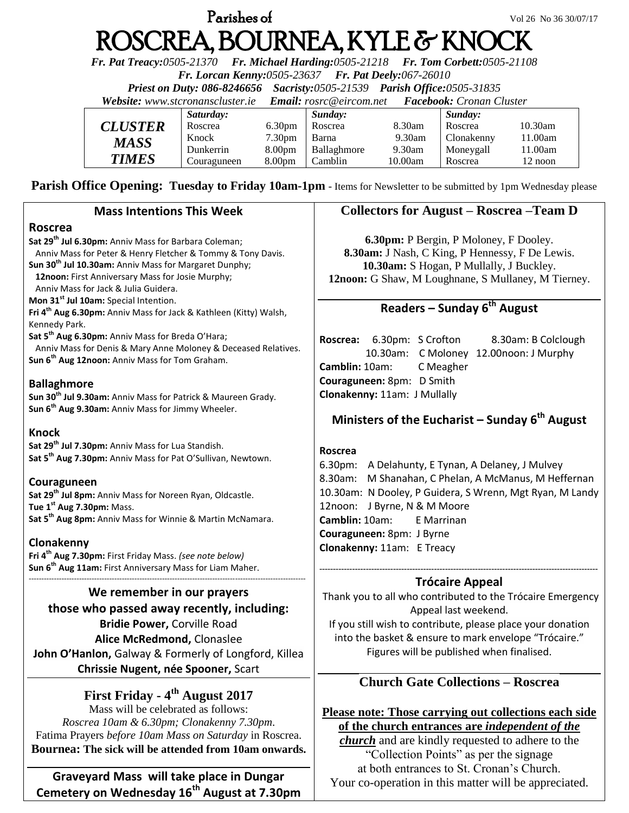# **Parishes of Vol 26 No 36 30/07/17** ROSCREA, BOURNEA, KYLE & KNOCK

*Fr. Pat Treacy:0505-21370 Fr. Michael Harding:0505-21218 Fr. Tom Corbett:0505-21108* 

*Fr. Lorcan Kenny:0505-23637 Fr. Pat Deely:067-26010* 

*Priest on Duty: 086-8246656 Sacristy:0505-21539 Parish Office:0505-31835* 

*Website: [www.stcronanscluster.ie](http://www.stcronanscluster.ie/) Email: [rosrc@eircom.net](mailto:rosrc@eircom.net) Facebook: Cronan Cluster* 

|                       | Saturday:   |                    | Sunday:     |         | Sunday:    |            |
|-----------------------|-------------|--------------------|-------------|---------|------------|------------|
| <i><b>CLUSTER</b></i> | Roscrea     | 6.30 <sub>pm</sub> | Roscrea     | 8.30am  | Roscrea    | $10.30$ am |
| <b>MASS</b>           | Knock       | 7.30 <sub>pm</sub> | Barna       | 9.30am  | Clonakenny | 11.00am    |
|                       | Dunkerrin   | 8.00 <sub>pm</sub> | Ballaghmore | 9.30am  | Moneygall  | l 1.00am   |
| <b>TIMES</b>          | Couraguneen | 8.00 <sub>pm</sub> | Camblin     | 10.00am | Roscrea    | 12 noon    |

**Parish Office Opening: Tuesday to Friday 10am-1pm** - Items for Newsletter to be submitted by 1pm Wednesday please

## **Mass Intentions This Week**

## **Roscrea**

**Sat 29th Jul 6.30pm:** Anniv Mass for Barbara Coleman; Anniv Mass for Peter & Henry Fletcher & Tommy & Tony Davis. **Sun 30th Jul 10.30am:** Anniv Mass for Margaret Dunphy; **12noon:** First Anniversary Mass for Josie Murphy;

 Anniv Mass for Jack & Julia Guidera. **Mon 31st Jul 10am:** Special Intention.

**Fri 4th Aug 6.30pm:** Anniv Mass for Jack & Kathleen (Kitty) Walsh, Kennedy Park.

**Sat 5th Aug 6.30pm:** Anniv Mass for Breda O'Hara;

 Anniv Mass for Denis & Mary Anne Moloney & Deceased Relatives. **Sun 6th Aug 12noon:** Anniv Mass for Tom Graham.

## **Ballaghmore**

**Sun 30th Jul 9.30am:** Anniv Mass for Patrick & Maureen Grady. **Sun 6th Aug 9.30am:** Anniv Mass for Jimmy Wheeler.

#### **Knock**

**Sat 29th Jul 7.30pm:** Anniv Mass for Lua Standish. **Sat 5th Aug 7.30pm:** Anniv Mass for Pat O'Sullivan, Newtown.

## **Couraguneen**

**Sat 29th Jul 8pm:** Anniv Mass for Noreen Ryan, Oldcastle. **Tue 1 st Aug 7.30pm:** Mass. **Sat 5th Aug 8pm:** Anniv Mass for Winnie & Martin McNamara.

## **Clonakenny**

**Fri 4th Aug 7.30pm:** First Friday Mass. *(see note below)* **Sun 6 th Aug 11am:** First Anniversary Mass for Liam Maher. --------------------------------------------------------------------------------------------------------------

## **We remember in our prayers**

**those who passed away recently, including: Bridie Power,** Corville Road **Alice McRedmond,** Clonaslee **John O'Hanlon,** Galway & Formerly of Longford, Killea **Chrissie Nugent, née Spooner,** Scart

# **First Friday - 4 th August 2017**

Mass will be celebrated as follows: *Roscrea 10am & 6.30pm; Clonakenny 7.30pm*. Fatima Prayers *before 10am Mass on Saturday* in Roscrea. **Bournea: The sick will be attended from 10am onwards.**

## **Graveyard Mass will take place in Dungar Cemetery on Wednesday 16th August at 7.30pm**

# **Collectors for August – Roscrea –Team D**

**6.30pm:** P Bergin, P Moloney, F Dooley. **8.30am:** J Nash, C King, P Hennessy, F De Lewis. **10.30am:** S Hogan, P Mullally, J Buckley. **12noon:** G Shaw, M Loughnane, S Mullaney, M Tierney.

# **Readers – Sunday 6 th August**

**Roscrea:** 6.30pm: S Crofton 8.30am: B Colclough 10.30am: C Moloney 12.00noon: J Murphy **Camblin:** 10am: C Meagher **Couraguneen:** 8pm: D Smith **Clonakenny:** 11am: J Mullally

# **Ministers of the Eucharist – Sunday 6 th August**

#### **Roscrea**

6.30pm: A Delahunty, E Tynan, A Delaney, J Mulvey 8.30am: M Shanahan, C Phelan, A McManus, M Heffernan 10.30am: N Dooley, P Guidera, S Wrenn, Mgt Ryan, M Landy 12noon: J Byrne, N & M Moore **Camblin:** 10am: E Marrinan **Couraguneen:** 8pm: J Byrne **Clonakenny:** 11am: E Treacy

#### **------------------------------------------------------------------------------------------------------ Trócaire Appeal**

Thank you to all who contributed to the Trócaire Emergency Appeal last weekend. If you still wish to contribute, please place your donation into the basket & ensure to mark envelope "Trócaire."

Figures will be published when finalised.

# **Church Gate Collections – Roscrea**

**Please note: Those carrying out collections each side of the church entrances are** *independent of the church* and are kindly requested to adhere to the

"Collection Points" as per the signage at both entrances to St. Cronan's Church. Your co-operation in this matter will be appreciated.